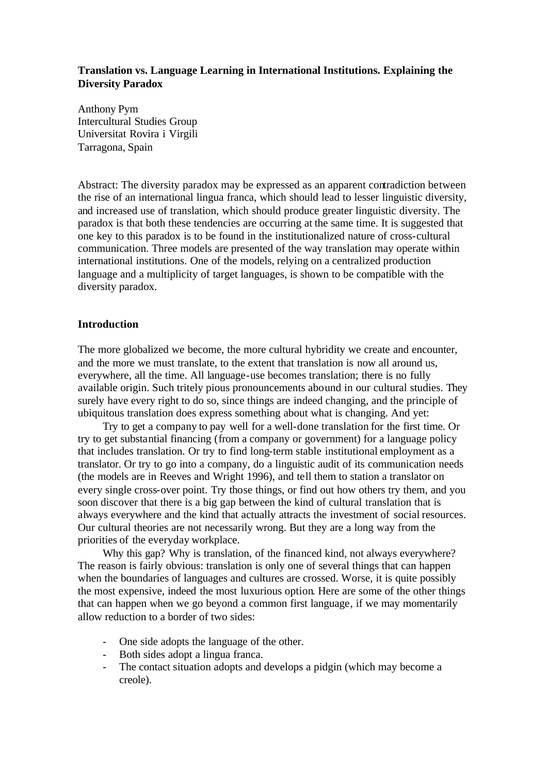# **Translation vs. Language Learning in International Institutions. Explaining the Diversity Paradox**

Anthony Pym Intercultural Studies Group Universitat Rovira i Virgili Tarragona, Spain

Abstract: The diversity paradox may be expressed as an apparent contradiction between the rise of an international lingua franca, which should lead to lesser linguistic diversity, and increased use of translation, which should produce greater linguistic diversity. The paradox is that both these tendencies are occurring at the same time. It is suggested that one key to this paradox is to be found in the institutionalized nature of cross-cultural communication. Three models are presented of the way translation may operate within international institutions. One of the models, relying on a centralized production language and a multiplicity of target languages, is shown to be compatible with the diversity paradox.

## **Introduction**

The more globalized we become, the more cultural hybridity we create and encounter, and the more we must translate, to the extent that translation is now all around us, everywhere, all the time. All language-use becomes translation; there is no fully available origin. Such tritely pious pronouncements abound in our cultural studies. They surely have every right to do so, since things are indeed changing, and the principle of ubiquitous translation does express something about what is changing. And yet:

Try to get a company to pay well for a well-done translation for the first time. Or try to get substantial financing (from a company or government) for a language policy that includes translation. Or try to find long-term stable institutional employment as a translator. Or try to go into a company, do a linguistic audit of its communication needs (the models are in Reeves and Wright 1996), and tell them to station a translator on every single cross-over point. Try those things, or find out how others try them, and you soon discover that there is a big gap between the kind of cultural translation that is always everywhere and the kind that actually attracts the investment of social resources. Our cultural theories are not necessarily wrong. But they are a long way from the priorities of the everyday workplace.

Why this gap? Why is translation, of the financed kind, not always everywhere? The reason is fairly obvious: translation is only one of several things that can happen when the boundaries of languages and cultures are crossed. Worse, it is quite possibly the most expensive, indeed the most luxurious option. Here are some of the other things that can happen when we go beyond a common first language, if we may momentarily allow reduction to a border of two sides:

- One side adopts the language of the other.
- Both sides adopt a lingua franca.
- The contact situation adopts and develops a pidgin (which may become a creole).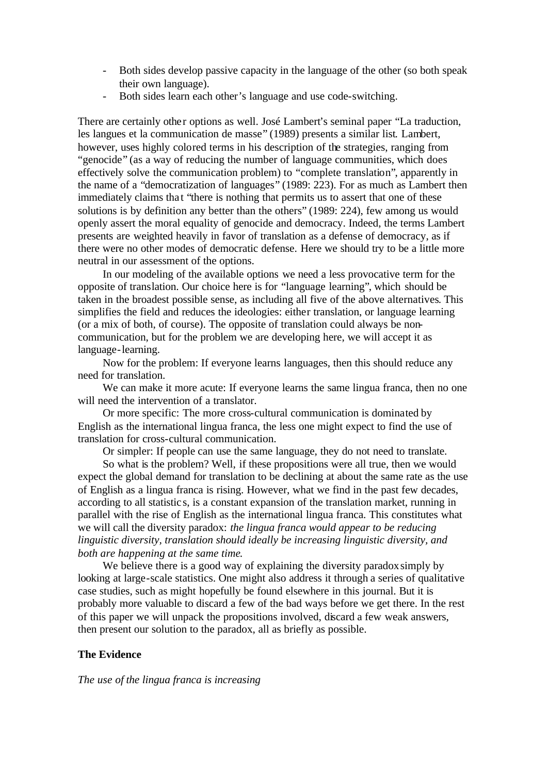- Both sides develop passive capacity in the language of the other (so both speak their own language).
- Both sides learn each other's language and use code-switching.

There are certainly other options as well. José Lambert's seminal paper "La traduction, les langues et la communication de masse" (1989) presents a similar list. Lambert, however, uses highly colored terms in his description of the strategies, ranging from "genocide" (as a way of reducing the number of language communities, which does effectively solve the communication problem) to "complete translation", apparently in the name of a "democratization of languages" (1989: 223). For as much as Lambert then immediately claims that "there is nothing that permits us to assert that one of these solutions is by definition any better than the others" (1989: 224), few among us would openly assert the moral equality of genocide and democracy. Indeed, the terms Lambert presents are weighted heavily in favor of translation as a defense of democracy, as if there were no other modes of democratic defense. Here we should try to be a little more neutral in our assessment of the options.

In our modeling of the available options we need a less provocative term for the opposite of translation. Our choice here is for "language learning", which should be taken in the broadest possible sense, as including all five of the above alternatives. This simplifies the field and reduces the ideologies: either translation, or language learning (or a mix of both, of course). The opposite of translation could always be noncommunication, but for the problem we are developing here, we will accept it as language-learning.

Now for the problem: If everyone learns languages, then this should reduce any need for translation.

We can make it more acute: If everyone learns the same lingua franca, then no one will need the intervention of a translator.

Or more specific: The more cross-cultural communication is dominated by English as the international lingua franca, the less one might expect to find the use of translation for cross-cultural communication.

Or simpler: If people can use the same language, they do not need to translate.

So what is the problem? Well, if these propositions were all true, then we would expect the global demand for translation to be declining at about the same rate as the use of English as a lingua franca is rising. However, what we find in the past few decades, according to all statistic s, is a constant expansion of the translation market, running in parallel with the rise of English as the international lingua franca. This constitutes what we will call the diversity paradox: *the lingua franca would appear to be reducing linguistic diversity, translation should ideally be increasing linguistic diversity, and both are happening at the same time*.

We believe there is a good way of explaining the diversity paradox simply by looking at large-scale statistics. One might also address it through a series of qualitative case studies, such as might hopefully be found elsewhere in this journal. But it is probably more valuable to discard a few of the bad ways before we get there. In the rest of this paper we will unpack the propositions involved, discard a few weak answers, then present our solution to the paradox, all as briefly as possible.

### **The Evidence**

*The use of the lingua franca is increasing*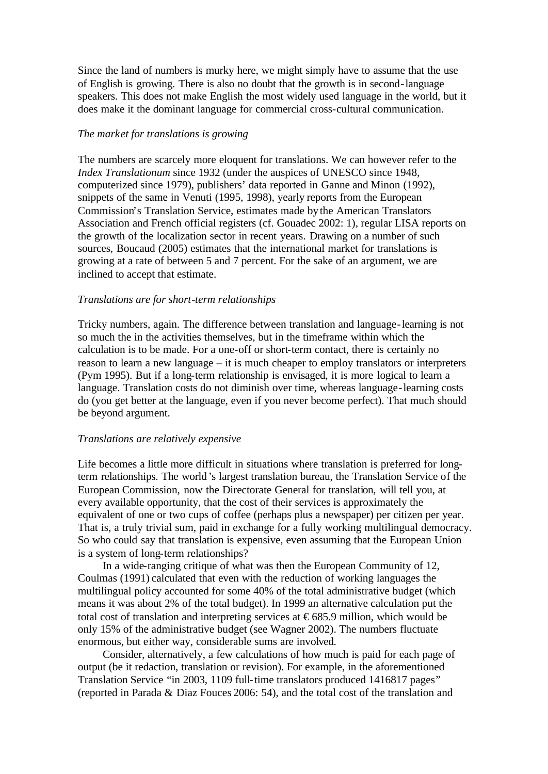Since the land of numbers is murky here, we might simply have to assume that the use of English is growing. There is also no doubt that the growth is in second-language speakers. This does not make English the most widely used language in the world, but it does make it the dominant language for commercial cross-cultural communication.

### *The market for translations is growing*

The numbers are scarcely more eloquent for translations. We can however refer to the *Index Translationum* since 1932 (under the auspices of UNESCO since 1948, computerized since 1979), publishers' data reported in Ganne and Minon (1992), snippets of the same in Venuti (1995, 1998), yearly reports from the European Commission's Translation Service, estimates made bythe American Translators Association and French official registers (cf. Gouadec 2002: 1), regular LISA reports on the growth of the localization sector in recent years. Drawing on a number of such sources, Boucaud (2005) estimates that the international market for translations is growing at a rate of between 5 and 7 percent. For the sake of an argument, we are inclined to accept that estimate.

### *Translations are for short-term relationships*

Tricky numbers, again. The difference between translation and language-learning is not so much the in the activities themselves, but in the timeframe within which the calculation is to be made. For a one-off or short-term contact, there is certainly no reason to learn a new language – it is much cheaper to employ translators or interpreters (Pym 1995). But if a long-term relationship is envisaged, it is more logical to learn a language. Translation costs do not diminish over time, whereas language-learning costs do (you get better at the language, even if you never become perfect). That much should be beyond argument.

### *Translations are relatively expensive*

Life becomes a little more difficult in situations where translation is preferred for longterm relationships. The world's largest translation bureau, the Translation Service of the European Commission, now the Directorate General for translation, will tell you, at every available opportunity, that the cost of their services is approximately the equivalent of one or two cups of coffee (perhaps plus a newspaper) per citizen per year. That is, a truly trivial sum, paid in exchange for a fully working multilingual democracy. So who could say that translation is expensive, even assuming that the European Union is a system of long-term relationships?

In a wide-ranging critique of what was then the European Community of 12, Coulmas (1991) calculated that even with the reduction of working languages the multilingual policy accounted for some 40% of the total administrative budget (which means it was about 2% of the total budget). In 1999 an alternative calculation put the total cost of translation and interpreting services at  $\epsilon$ 685.9 million, which would be only 15% of the administrative budget (see Wagner 2002). The numbers fluctuate enormous, but either way, considerable sums are involved.

Consider, alternatively, a few calculations of how much is paid for each page of output (be it redaction, translation or revision). For example, in the aforementioned Translation Service "in 2003, 1109 full-time translators produced 1416817 pages" (reported in Parada & Diaz Fouces 2006: 54), and the total cost of the translation and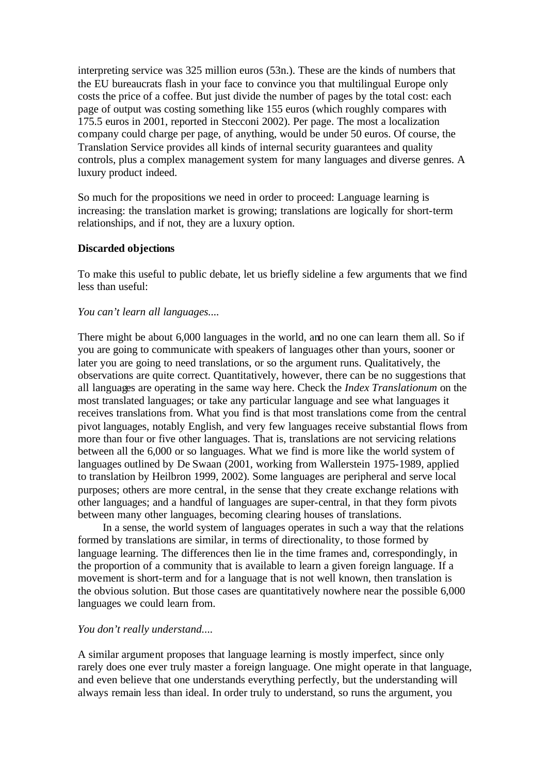interpreting service was 325 million euros (53n.). These are the kinds of numbers that the EU bureaucrats flash in your face to convince you that multilingual Europe only costs the price of a coffee. But just divide the number of pages by the total cost: each page of output was costing something like 155 euros (which roughly compares with 175.5 euros in 2001, reported in Stecconi 2002). Per page. The most a localization company could charge per page, of anything, would be under 50 euros. Of course, the Translation Service provides all kinds of internal security guarantees and quality controls, plus a complex management system for many languages and diverse genres. A luxury product indeed.

So much for the propositions we need in order to proceed: Language learning is increasing: the translation market is growing; translations are logically for short-term relationships, and if not, they are a luxury option.

### **Discarded objections**

To make this useful to public debate, let us briefly sideline a few arguments that we find less than useful:

### *You can't learn all languages....*

There might be about 6,000 languages in the world, and no one can learn them all. So if you are going to communicate with speakers of languages other than yours, sooner or later you are going to need translations, or so the argument runs. Qualitatively, the observations are quite correct. Quantitatively, however, there can be no suggestions that all languages are operating in the same way here. Check the *Index Translationum* on the most translated languages; or take any particular language and see what languages it receives translations from. What you find is that most translations come from the central pivot languages, notably English, and very few languages receive substantial flows from more than four or five other languages. That is, translations are not servicing relations between all the 6,000 or so languages. What we find is more like the world system of languages outlined by De Swaan (2001, working from Wallerstein 1975-1989, applied to translation by Heilbron 1999, 2002). Some languages are peripheral and serve local purposes; others are more central, in the sense that they create exchange relations with other languages; and a handful of languages are super-central, in that they form pivots between many other languages, becoming clearing houses of translations.

In a sense, the world system of languages operates in such a way that the relations formed by translations are similar, in terms of directionality, to those formed by language learning. The differences then lie in the time frames and, correspondingly, in the proportion of a community that is available to learn a given foreign language. If a movement is short-term and for a language that is not well known, then translation is the obvious solution. But those cases are quantitatively nowhere near the possible 6,000 languages we could learn from.

## *You don't really understand....*

A similar argument proposes that language learning is mostly imperfect, since only rarely does one ever truly master a foreign language. One might operate in that language, and even believe that one understands everything perfectly, but the understanding will always remain less than ideal. In order truly to understand, so runs the argument, you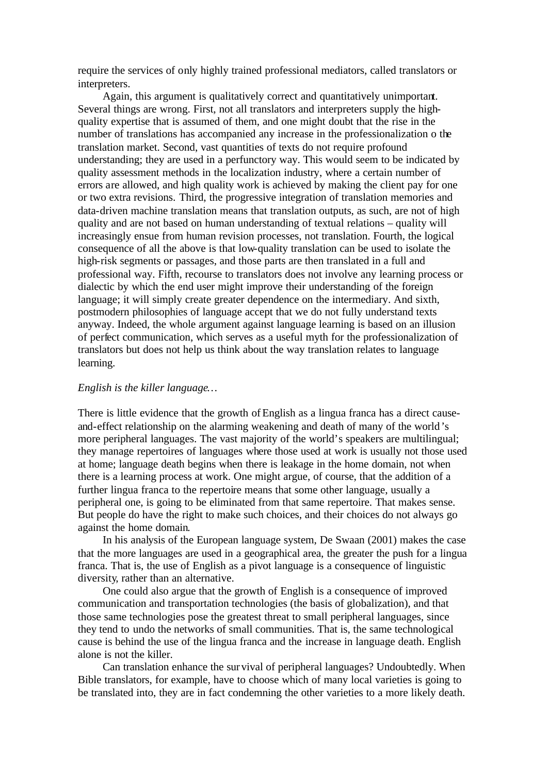require the services of only highly trained professional mediators, called translators or interpreters.

Again, this argument is qualitatively correct and quantitatively unimportant. Several things are wrong. First, not all translators and interpreters supply the highquality expertise that is assumed of them, and one might doubt that the rise in the number of translations has accompanied any increase in the professionalization o the translation market. Second, vast quantities of texts do not require profound understanding; they are used in a perfunctory way. This would seem to be indicated by quality assessment methods in the localization industry, where a certain number of errors are allowed, and high quality work is achieved by making the client pay for one or two extra revisions. Third, the progressive integration of translation memories and data-driven machine translation means that translation outputs, as such, are not of high quality and are not based on human understanding of textual relations – quality will increasingly ensue from human revision processes, not translation. Fourth, the logical consequence of all the above is that low-quality translation can be used to isolate the high-risk segments or passages, and those parts are then translated in a full and professional way. Fifth, recourse to translators does not involve any learning process or dialectic by which the end user might improve their understanding of the foreign language; it will simply create greater dependence on the intermediary. And sixth, postmodern philosophies of language accept that we do not fully understand texts anyway. Indeed, the whole argument against language learning is based on an illusion of perfect communication, which serves as a useful myth for the professionalization of translators but does not help us think about the way translation relates to language learning.

### *English is the killer language…*

There is little evidence that the growth of English as a lingua franca has a direct causeand-effect relationship on the alarming weakening and death of many of the world's more peripheral languages. The vast majority of the world's speakers are multilingual; they manage repertoires of languages where those used at work is usually not those used at home; language death begins when there is leakage in the home domain, not when there is a learning process at work. One might argue, of course, that the addition of a further lingua franca to the repertoire means that some other language, usually a peripheral one, is going to be eliminated from that same repertoire. That makes sense. But people do have the right to make such choices, and their choices do not always go against the home domain.

In his analysis of the European language system, De Swaan (2001) makes the case that the more languages are used in a geographical area, the greater the push for a lingua franca. That is, the use of English as a pivot language is a consequence of linguistic diversity, rather than an alternative.

One could also argue that the growth of English is a consequence of improved communication and transportation technologies (the basis of globalization), and that those same technologies pose the greatest threat to small peripheral languages, since they tend to undo the networks of small communities. That is, the same technological cause is behind the use of the lingua franca and the increase in language death. English alone is not the killer.

Can translation enhance the survival of peripheral languages? Undoubtedly. When Bible translators, for example, have to choose which of many local varieties is going to be translated into, they are in fact condemning the other varieties to a more likely death.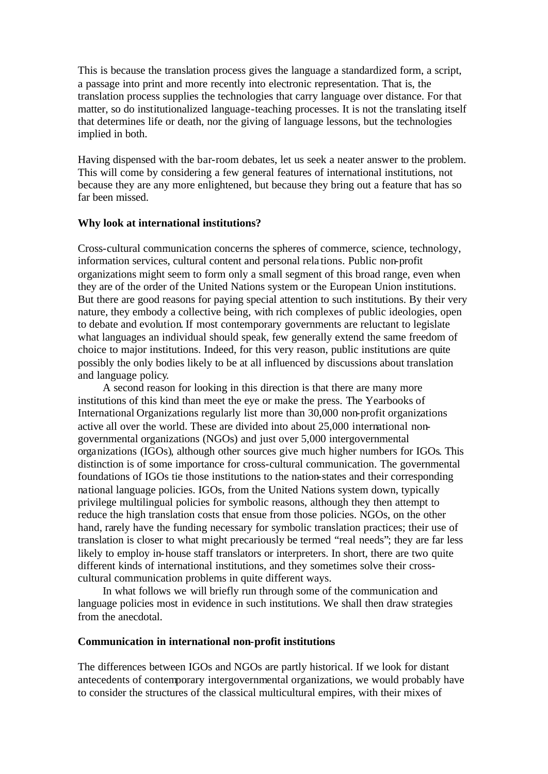This is because the translation process gives the language a standardized form, a script, a passage into print and more recently into electronic representation. That is, the translation process supplies the technologies that carry language over distance. For that matter, so do institutionalized language-teaching processes. It is not the translating itself that determines life or death, nor the giving of language lessons, but the technologies implied in both.

Having dispensed with the bar-room debates, let us seek a neater answer to the problem. This will come by considering a few general features of international institutions, not because they are any more enlightened, but because they bring out a feature that has so far been missed.

### **Why look at international institutions?**

Cross-cultural communication concerns the spheres of commerce, science, technology, information services, cultural content and personal rela tions. Public non-profit organizations might seem to form only a small segment of this broad range, even when they are of the order of the United Nations system or the European Union institutions. But there are good reasons for paying special attention to such institutions. By their very nature, they embody a collective being, with rich complexes of public ideologies, open to debate and evolution. If most contemporary governments are reluctant to legislate what languages an individual should speak, few generally extend the same freedom of choice to major institutions. Indeed, for this very reason, public institutions are quite possibly the only bodies likely to be at all influenced by discussions about translation and language policy.

A second reason for looking in this direction is that there are many more institutions of this kind than meet the eye or make the press. The Yearbooks of International Organizations regularly list more than 30,000 non-profit organizations active all over the world. These are divided into about 25,000 international nongovernmental organizations (NGOs) and just over 5,000 intergovernmental organizations (IGOs), although other sources give much higher numbers for IGOs. This distinction is of some importance for cross-cultural communication. The governmental foundations of IGOs tie those institutions to the nation-states and their corresponding national language policies. IGOs, from the United Nations system down, typically privilege multilingual policies for symbolic reasons, although they then attempt to reduce the high translation costs that ensue from those policies. NGOs, on the other hand, rarely have the funding necessary for symbolic translation practices; their use of translation is closer to what might precariously be termed "real needs"; they are far less likely to employ in-house staff translators or interpreters. In short, there are two quite different kinds of international institutions, and they sometimes solve their crosscultural communication problems in quite different ways.

In what follows we will briefly run through some of the communication and language policies most in evidence in such institutions. We shall then draw strategies from the anecdotal.

### **Communication in international non-profit institutions**

The differences between IGOs and NGOs are partly historical. If we look for distant antecedents of contemporary intergovernmental organizations, we would probably have to consider the structures of the classical multicultural empires, with their mixes of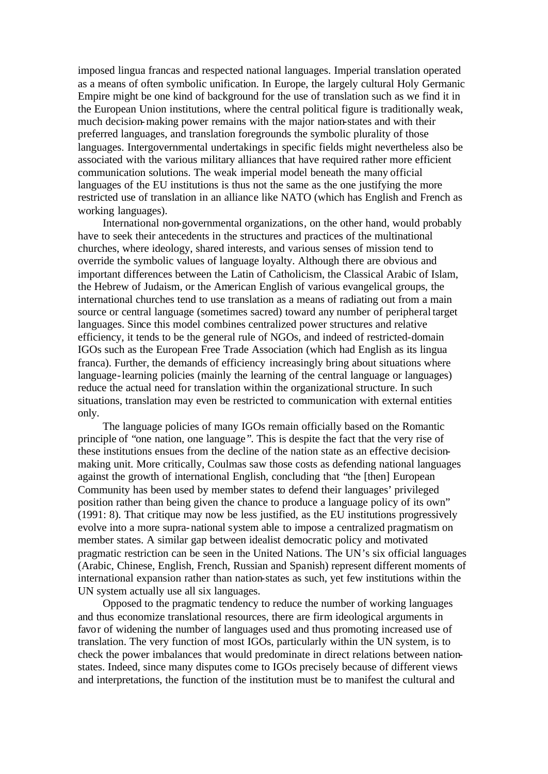imposed lingua francas and respected national languages. Imperial translation operated as a means of often symbolic unification. In Europe, the largely cultural Holy Germanic Empire might be one kind of background for the use of translation such as we find it in the European Union institutions, where the central political figure is traditionally weak, much decision-making power remains with the major nation-states and with their preferred languages, and translation foregrounds the symbolic plurality of those languages. Intergovernmental undertakings in specific fields might nevertheless also be associated with the various military alliances that have required rather more efficient communication solutions. The weak imperial model beneath the many official languages of the EU institutions is thus not the same as the one justifying the more restricted use of translation in an alliance like NATO (which has English and French as working languages).

International non-governmental organizations, on the other hand, would probably have to seek their antecedents in the structures and practices of the multinational churches, where ideology, shared interests, and various senses of mission tend to override the symbolic values of language loyalty. Although there are obvious and important differences between the Latin of Catholicism, the Classical Arabic of Islam, the Hebrew of Judaism, or the American English of various evangelical groups, the international churches tend to use translation as a means of radiating out from a main source or central language (sometimes sacred) toward any number of peripheral target languages. Since this model combines centralized power structures and relative efficiency, it tends to be the general rule of NGOs, and indeed of restricted-domain IGOs such as the European Free Trade Association (which had English as its lingua franca). Further, the demands of efficiency increasingly bring about situations where language-learning policies (mainly the learning of the central language or languages) reduce the actual need for translation within the organizational structure. In such situations, translation may even be restricted to communication with external entities only.

The language policies of many IGOs remain officially based on the Romantic principle of "one nation, one language ". This is despite the fact that the very rise of these institutions ensues from the decline of the nation state as an effective decisionmaking unit. More critically, Coulmas saw those costs as defending national languages against the growth of international English, concluding that "the [then] European Community has been used by member states to defend their languages' privileged position rather than being given the chance to produce a language policy of its own" (1991: 8). That critique may now be less justified, as the EU institutions progressively evolve into a more supra-national system able to impose a centralized pragmatism on member states. A similar gap between idealist democratic policy and motivated pragmatic restriction can be seen in the United Nations. The UN's six official languages (Arabic, Chinese, English, French, Russian and Spanish) represent different moments of international expansion rather than nation-states as such, yet few institutions within the UN system actually use all six languages.

Opposed to the pragmatic tendency to reduce the number of working languages and thus economize translational resources, there are firm ideological arguments in favor of widening the number of languages used and thus promoting increased use of translation. The very function of most IGOs, particularly within the UN system, is to check the power imbalances that would predominate in direct relations between nationstates. Indeed, since many disputes come to IGOs precisely because of different views and interpretations, the function of the institution must be to manifest the cultural and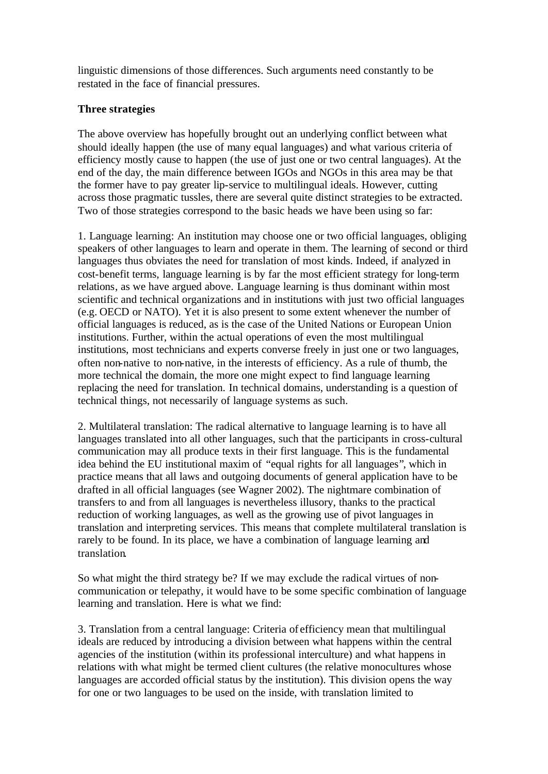linguistic dimensions of those differences. Such arguments need constantly to be restated in the face of financial pressures.

## **Three strategies**

The above overview has hopefully brought out an underlying conflict between what should ideally happen (the use of many equal languages) and what various criteria of efficiency mostly cause to happen (the use of just one or two central languages). At the end of the day, the main difference between IGOs and NGOs in this area may be that the former have to pay greater lip-service to multilingual ideals. However, cutting across those pragmatic tussles, there are several quite distinct strategies to be extracted. Two of those strategies correspond to the basic heads we have been using so far:

1. Language learning: An institution may choose one or two official languages, obliging speakers of other languages to learn and operate in them. The learning of second or third languages thus obviates the need for translation of most kinds. Indeed, if analyzed in cost-benefit terms, language learning is by far the most efficient strategy for long-term relations, as we have argued above. Language learning is thus dominant within most scientific and technical organizations and in institutions with just two official languages (e.g. OECD or NATO). Yet it is also present to some extent whenever the number of official languages is reduced, as is the case of the United Nations or European Union institutions. Further, within the actual operations of even the most multilingual institutions, most technicians and experts converse freely in just one or two languages, often non-native to non-native, in the interests of efficiency. As a rule of thumb, the more technical the domain, the more one might expect to find language learning replacing the need for translation. In technical domains, understanding is a question of technical things, not necessarily of language systems as such.

2. Multilateral translation: The radical alternative to language learning is to have all languages translated into all other languages, such that the participants in cross-cultural communication may all produce texts in their first language. This is the fundamental idea behind the EU institutional maxim of "equal rights for all languages", which in practice means that all laws and outgoing documents of general application have to be drafted in all official languages (see Wagner 2002). The nightmare combination of transfers to and from all languages is nevertheless illusory, thanks to the practical reduction of working languages, as well as the growing use of pivot languages in translation and interpreting services. This means that complete multilateral translation is rarely to be found. In its place, we have a combination of language learning and translation.

So what might the third strategy be? If we may exclude the radical virtues of noncommunication or telepathy, it would have to be some specific combination of language learning and translation. Here is what we find:

3. Translation from a central language: Criteria of efficiency mean that multilingual ideals are reduced by introducing a division between what happens within the central agencies of the institution (within its professional interculture) and what happens in relations with what might be termed client cultures (the relative monocultures whose languages are accorded official status by the institution). This division opens the way for one or two languages to be used on the inside, with translation limited to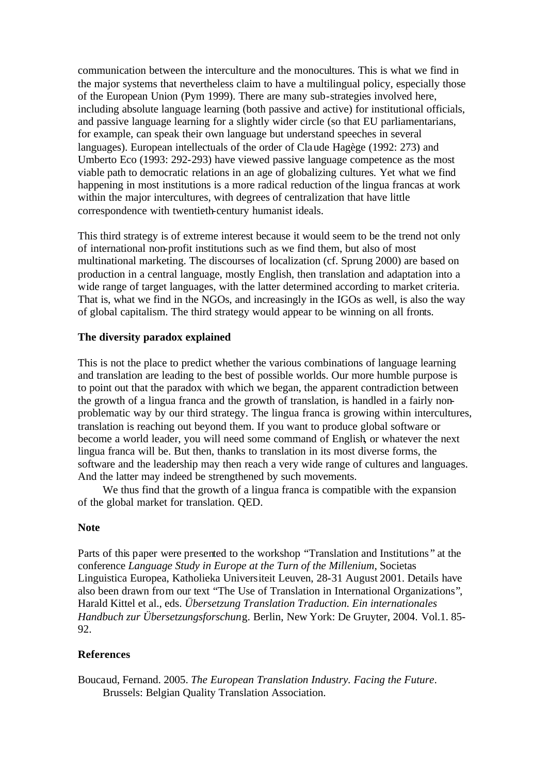communication between the interculture and the monocultures. This is what we find in the major systems that nevertheless claim to have a multilingual policy, especially those of the European Union (Pym 1999). There are many sub-strategies involved here, including absolute language learning (both passive and active) for institutional officials, and passive language learning for a slightly wider circle (so that EU parliamentarians, for example, can speak their own language but understand speeches in several languages). European intellectuals of the order of Claude Hagège (1992: 273) and Umberto Eco (1993: 292-293) have viewed passive language competence as the most viable path to democratic relations in an age of globalizing cultures. Yet what we find happening in most institutions is a more radical reduction of the lingua francas at work within the major intercultures, with degrees of centralization that have little correspondence with twentieth-century humanist ideals.

This third strategy is of extreme interest because it would seem to be the trend not only of international non-profit institutions such as we find them, but also of most multinational marketing. The discourses of localization (cf. Sprung 2000) are based on production in a central language, mostly English, then translation and adaptation into a wide range of target languages, with the latter determined according to market criteria. That is, what we find in the NGOs, and increasingly in the IGOs as well, is also the way of global capitalism. The third strategy would appear to be winning on all fronts.

## **The diversity paradox explained**

This is not the place to predict whether the various combinations of language learning and translation are leading to the best of possible worlds. Our more humble purpose is to point out that the paradox with which we began, the apparent contradiction between the growth of a lingua franca and the growth of translation, is handled in a fairly nonproblematic way by our third strategy. The lingua franca is growing within intercultures, translation is reaching out beyond them. If you want to produce global software or become a world leader, you will need some command of English, or whatever the next lingua franca will be. But then, thanks to translation in its most diverse forms, the software and the leadership may then reach a very wide range of cultures and languages. And the latter may indeed be strengthened by such movements.

We thus find that the growth of a lingua franca is compatible with the expansion of the global market for translation. QED.

### **Note**

Parts of this paper were presented to the workshop "Translation and Institutions " at the conference *Language Study in Europe at the Turn of the Millenium*, Societas Linguistica Europea, Katholieka Universiteit Leuven, 28-31 August 2001. Details have also been drawn from our text "The Use of Translation in International Organizations", Harald Kittel et al., eds. *Übersetzung Translation Traduction. Ein internationales Handbuch zur Übersetzungsforschun*g. Berlin, New York: De Gruyter, 2004. Vol.1. 85- 92.

### **References**

Boucaud, Fernand. 2005. *The European Translation Industry. Facing the Future*. Brussels: Belgian Quality Translation Association.